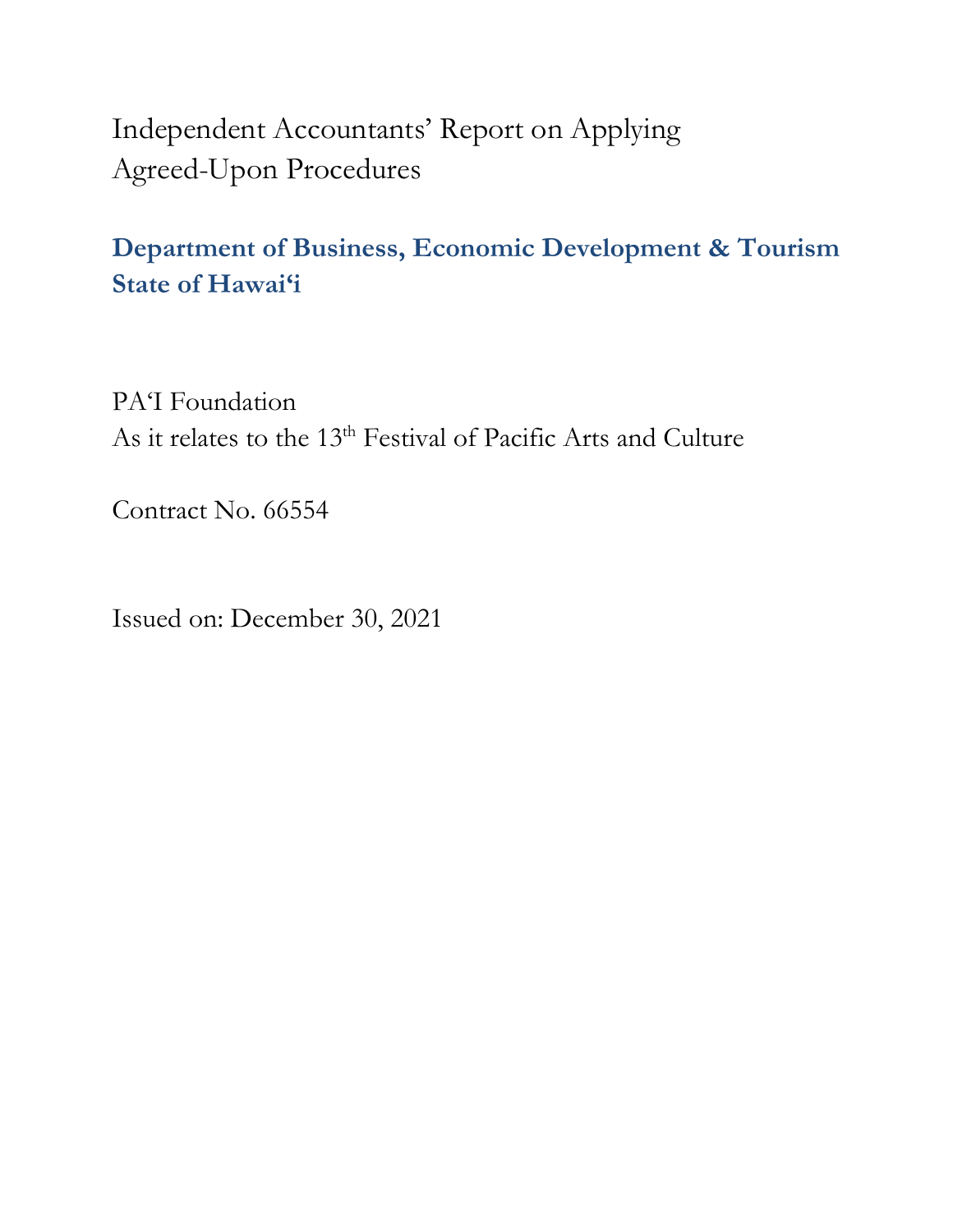Independent Accountants' Report on Applying Agreed-Upon Procedures

### **Department of Business, Economic Development & Tourism State of Hawai'i**

PA'I Foundation As it relates to the 13<sup>th</sup> Festival of Pacific Arts and Culture

Contract No. 66554

Issued on: December 30, 2021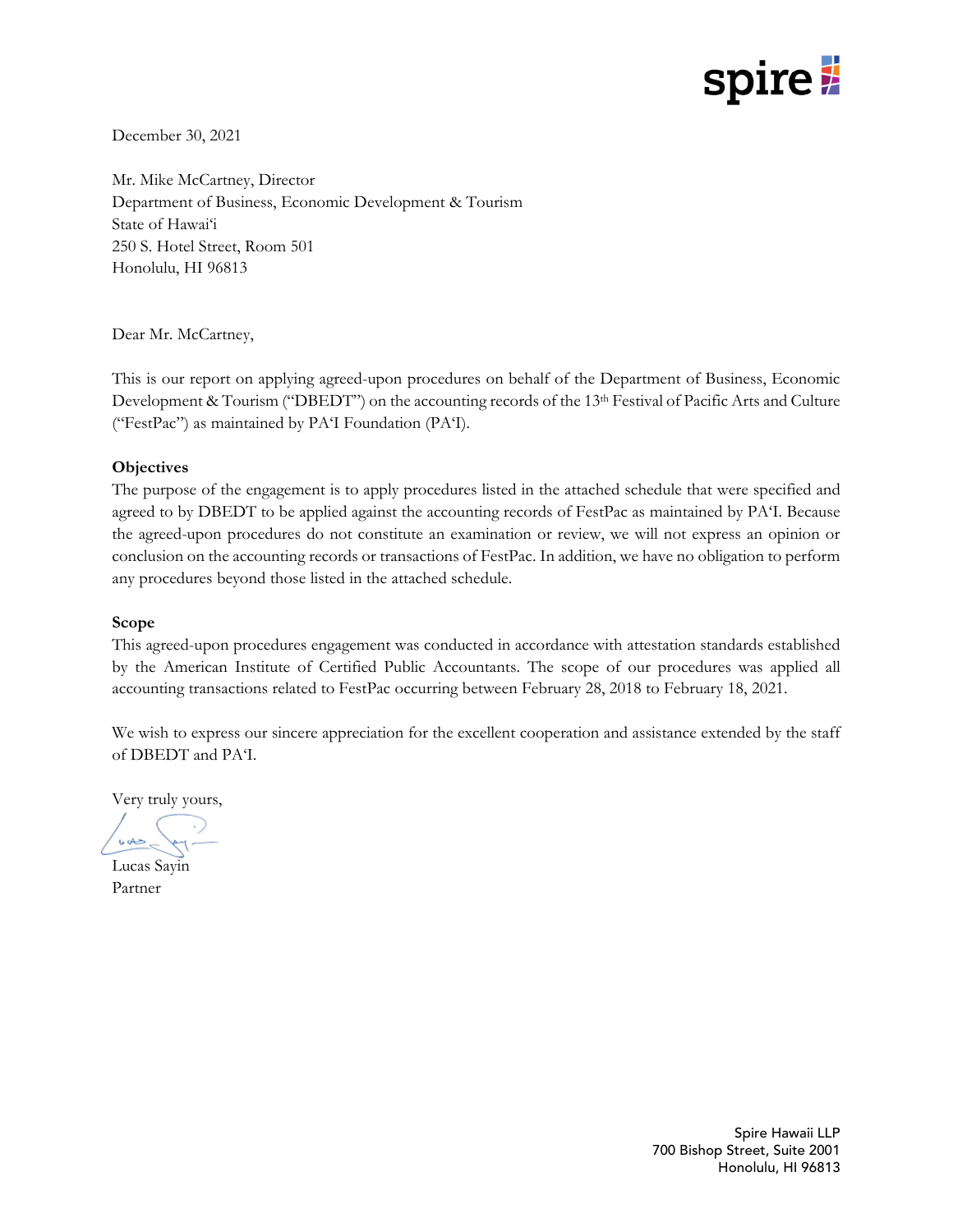# spire 2

December 30, 2021

Mr. Mike McCartney, Director Department of Business, Economic Development & Tourism State of Hawai'i 250 S. Hotel Street, Room 501 Honolulu, HI 96813

Dear Mr. McCartney,

This is our report on applying agreed-upon procedures on behalf of the Department of Business, Economic Development & Tourism ("DBEDT") on the accounting records of the 13th Festival of Pacific Arts and Culture ("FestPac") as maintained by PA'I Foundation (PA'I).

### **Objectives**

The purpose of the engagement is to apply procedures listed in the attached schedule that were specified and agreed to by DBEDT to be applied against the accounting records of FestPac as maintained by PA'I. Because the agreed-upon procedures do not constitute an examination or review, we will not express an opinion or conclusion on the accounting records or transactions of FestPac. In addition, we have no obligation to perform any procedures beyond those listed in the attached schedule.

### **Scope**

This agreed-upon procedures engagement was conducted in accordance with attestation standards established by the American Institute of Certified Public Accountants. The scope of our procedures was applied all accounting transactions related to FestPac occurring between February 28, 2018 to February 18, 2021.

We wish to express our sincere appreciation for the excellent cooperation and assistance extended by the staff of DBEDT and PA'I.

Very truly yours,

Lucas Sayin Partner

 Spire Hawaii LLP 700 Bishop Street, Suite 2001 Honolulu, HI 96813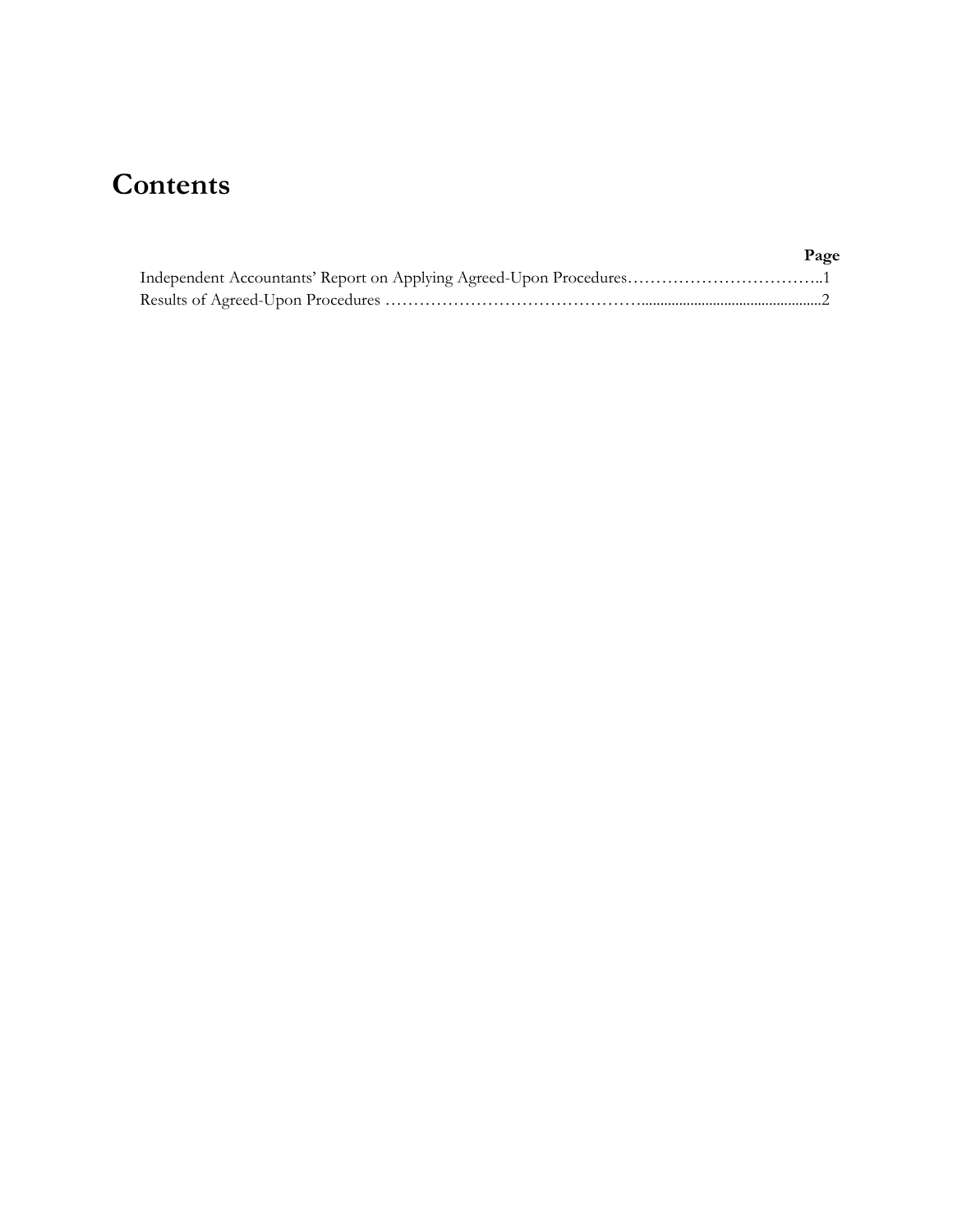## **Contents**

| Page |
|------|
|      |
|      |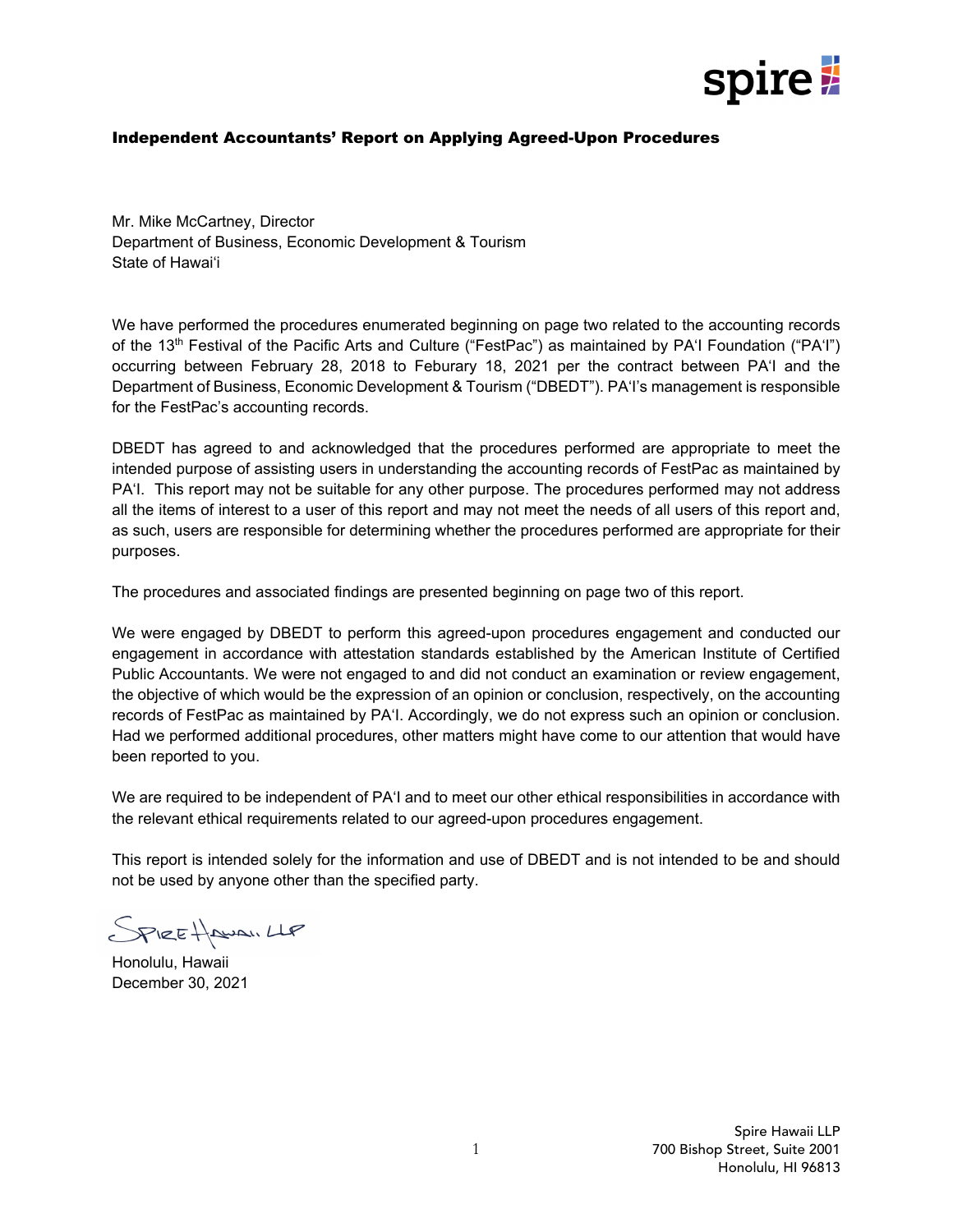

### Independent Accountants' Report on Applying Agreed-Upon Procedures

Mr. Mike McCartney, Director Department of Business, Economic Development & Tourism State of Hawai'i

We have performed the procedures enumerated beginning on page two related to the accounting records of the 13<sup>th</sup> Festival of the Pacific Arts and Culture ("FestPac") as maintained by PA'I Foundation ("PA'I") occurring between February 28, 2018 to Feburary 18, 2021 per the contract between PA'I and the Department of Business, Economic Development & Tourism ("DBEDT"). PA'I's management is responsible for the FestPac's accounting records.

DBEDT has agreed to and acknowledged that the procedures performed are appropriate to meet the intended purpose of assisting users in understanding the accounting records of FestPac as maintained by PA'I. This report may not be suitable for any other purpose. The procedures performed may not address all the items of interest to a user of this report and may not meet the needs of all users of this report and, as such, users are responsible for determining whether the procedures performed are appropriate for their purposes.

The procedures and associated findings are presented beginning on page two of this report.

We were engaged by DBEDT to perform this agreed-upon procedures engagement and conducted our engagement in accordance with attestation standards established by the American Institute of Certified Public Accountants. We were not engaged to and did not conduct an examination or review engagement, the objective of which would be the expression of an opinion or conclusion, respectively, on the accounting records of FestPac as maintained by PA'I. Accordingly, we do not express such an opinion or conclusion. Had we performed additional procedures, other matters might have come to our attention that would have been reported to you.

We are required to be independent of PA'I and to meet our other ethical responsibilities in accordance with the relevant ethical requirements related to our agreed-upon procedures engagement.

This report is intended solely for the information and use of DBEDT and is not intended to be and should not be used by anyone other than the specified party.

SPIREHAWAI.LLP

Honolulu, Hawaii December 30, 2021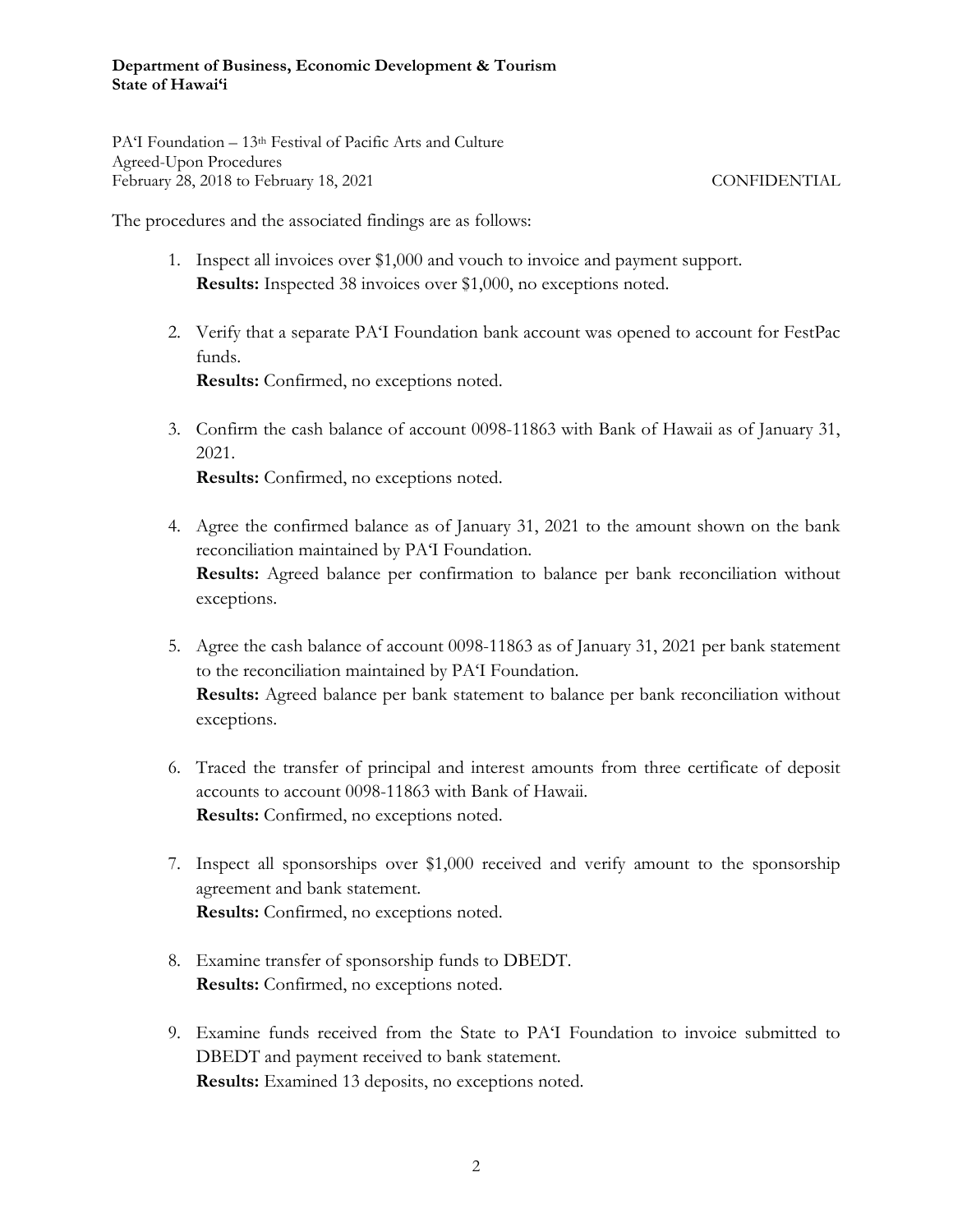#### **Department of Business, Economic Development & Tourism State of Hawai'i**

PA'I Foundation – 13th Festival of Pacific Arts and Culture Agreed-Upon Procedures February 28, 2018 to February 18, 2021 CONFIDENTIAL

The procedures and the associated findings are as follows:

- 1. Inspect all invoices over \$1,000 and vouch to invoice and payment support. **Results:** Inspected 38 invoices over \$1,000, no exceptions noted.
- 2. Verify that a separate PA'I Foundation bank account was opened to account for FestPac funds. **Results:** Confirmed, no exceptions noted.
- 3. Confirm the cash balance of account 0098-11863 with Bank of Hawaii as of January 31, 2021.

**Results:** Confirmed, no exceptions noted.

- 4. Agree the confirmed balance as of January 31, 2021 to the amount shown on the bank reconciliation maintained by PA'I Foundation. **Results:** Agreed balance per confirmation to balance per bank reconciliation without exceptions.
- 5. Agree the cash balance of account 0098-11863 as of January 31, 2021 per bank statement to the reconciliation maintained by PA'I Foundation. **Results:** Agreed balance per bank statement to balance per bank reconciliation without exceptions.
- 6. Traced the transfer of principal and interest amounts from three certificate of deposit accounts to account 0098-11863 with Bank of Hawaii. **Results:** Confirmed, no exceptions noted.
- 7. Inspect all sponsorships over \$1,000 received and verify amount to the sponsorship agreement and bank statement. **Results:** Confirmed, no exceptions noted.
- 8. Examine transfer of sponsorship funds to DBEDT. **Results:** Confirmed, no exceptions noted.
- 9. Examine funds received from the State to PA'I Foundation to invoice submitted to DBEDT and payment received to bank statement. **Results:** Examined 13 deposits, no exceptions noted.